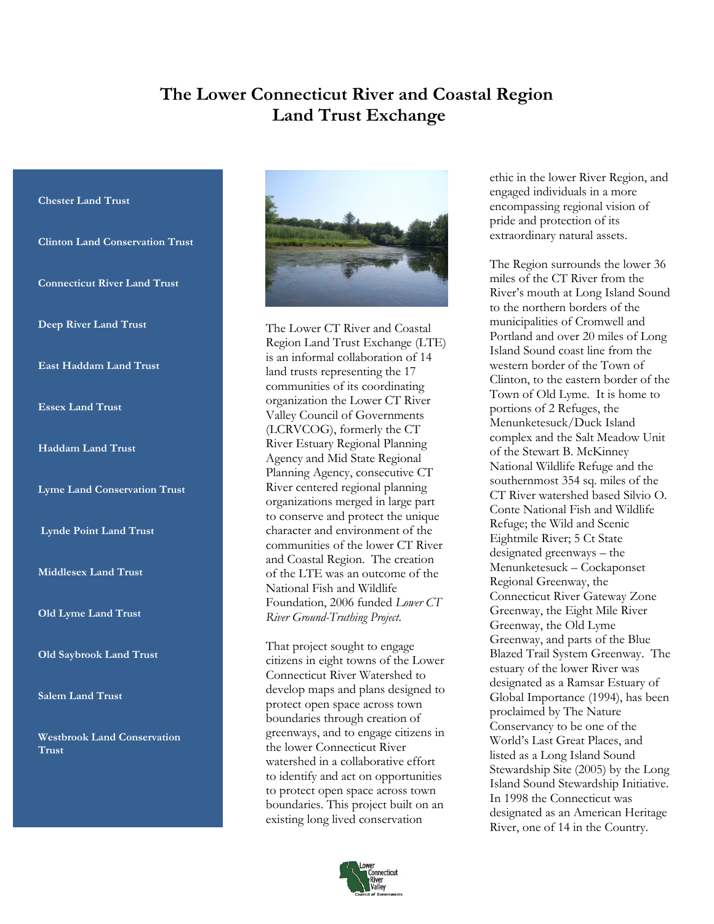## **The Lower Connecticut River and Coastal Region Land Trust Exchange**

## **Chester Land Trust**

**Clinton Land Conservation Trust**

**Connecticut River Land Trust**

**Deep River Land Trust**

**East Haddam Land Trust**

**Essex Land Trust**

## **Haddam Land Trust**

**Lyme Land Conservation Trust**

**Lynde Point Land Trust**

**Middlesex Land Trust**

**Old Lyme Land Trust**

**Old Saybrook Land Trust**

**Salem Land Trust**

**Westbrook Land Conservation Trust**



The Lower CT River and Coastal Region Land Trust Exchange (LTE) is an informal collaboration of 14 land trusts representing the 17 communities of its coordinating organization the Lower CT River Valley Council of Governments (LCRVCOG), formerly the CT River Estuary Regional Planning Agency and Mid State Regional Planning Agency, consecutive CT River centered regional planning organizations merged in large part to conserve and protect the unique character and environment of the communities of the lower CT River and Coastal Region. The creation of the LTE was an outcome of the National Fish and Wildlife Foundation, 2006 funded *Lower CT River Ground-Truthing Project*.

That project sought to engage citizens in eight towns of the Lower Connecticut River Watershed to develop maps and plans designed to protect open space across town boundaries through creation of greenways, and to engage citizens in the lower Connecticut River watershed in a collaborative effort to identify and act on opportunities to protect open space across town boundaries. This project built on an existing long lived conservation



ethic in the lower River Region, and engaged individuals in a more encompassing regional vision of pride and protection of its extraordinary natural assets.

The Region surrounds the lower 36 miles of the CT River from the River's mouth at Long Island Sound to the northern borders of the municipalities of Cromwell and Portland and over 20 miles of Long Island Sound coast line from the western border of the Town of Clinton, to the eastern border of the Town of Old Lyme. It is home to portions of 2 Refuges, the Menunketesuck/Duck Island complex and the Salt Meadow Unit of the Stewart B. McKinney National Wildlife Refuge and the southernmost 354 sq. miles of the CT River watershed based Silvio O. Conte National Fish and Wildlife Refuge; the Wild and Scenic Eightmile River; 5 Ct State designated greenways – the Menunketesuck – Cockaponset Regional Greenway, the Connecticut River Gateway Zone Greenway, the Eight Mile River Greenway, the Old Lyme Greenway, and parts of the Blue Blazed Trail System Greenway. The estuary of the lower River was designated as a Ramsar Estuary of Global Importance (1994), has been proclaimed by The Nature Conservancy to be one of the World's Last Great Places, and listed as a Long Island Sound Stewardship Site (2005) by the Long Island Sound Stewardship Initiative. In 1998 the Connecticut was designated as an American Heritage River, one of 14 in the Country.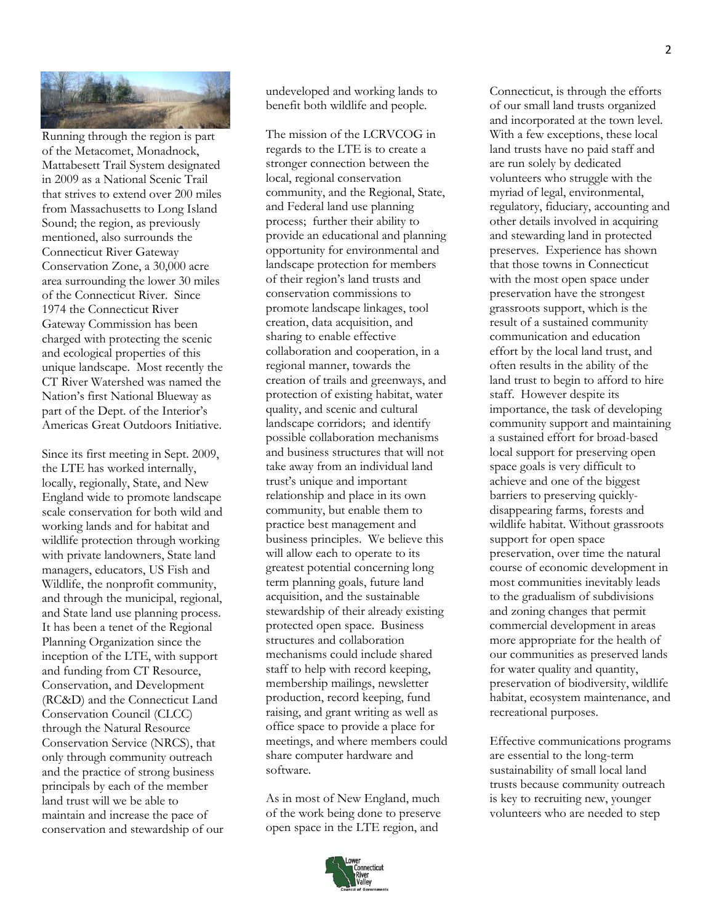

Running through the region is part of the Metacomet, Monadnock, Mattabesett Trail System designated in 2009 as a National Scenic Trail that strives to extend over 200 miles from Massachusetts to Long Island Sound; the region, as previously mentioned, also surrounds the Connecticut River Gateway Conservation Zone, a 30,000 acre area surrounding the lower 30 miles of the Connecticut River. Since 1974 the Connecticut River Gateway Commission has been charged with protecting the scenic and ecological properties of this unique landscape. Most recently the CT River Watershed was named the Nation's first National Blueway as part of the Dept. of the Interior's Americas Great Outdoors Initiative.

Since its first meeting in Sept. 2009, the LTE has worked internally, locally, regionally, State, and New England wide to promote landscape scale conservation for both wild and working lands and for habitat and wildlife protection through working with private landowners, State land managers, educators, US Fish and Wildlife, the nonprofit community, and through the municipal, regional, and State land use planning process. It has been a tenet of the Regional Planning Organization since the inception of the LTE, with support and funding from CT Resource, Conservation, and Development (RC&D) and the Connecticut Land Conservation Council (CLCC) through the Natural Resource Conservation Service (NRCS), that only through community outreach and the practice of strong business principals by each of the member land trust will we be able to maintain and increase the pace of conservation and stewardship of our undeveloped and working lands to benefit both wildlife and people.

The mission of the LCRVCOG in regards to the LTE is to create a stronger connection between the local, regional conservation community, and the Regional, State, and Federal land use planning process; further their ability to provide an educational and planning opportunity for environmental and landscape protection for members of their region's land trusts and conservation commissions to promote landscape linkages, tool creation, data acquisition, and sharing to enable effective collaboration and cooperation, in a regional manner, towards the creation of trails and greenways, and protection of existing habitat, water quality, and scenic and cultural landscape corridors; and identify possible collaboration mechanisms and business structures that will not take away from an individual land trust's unique and important relationship and place in its own community, but enable them to practice best management and business principles. We believe this will allow each to operate to its greatest potential concerning long term planning goals, future land acquisition, and the sustainable stewardship of their already existing protected open space. Business structures and collaboration mechanisms could include shared staff to help with record keeping, membership mailings, newsletter production, record keeping, fund raising, and grant writing as well as office space to provide a place for meetings, and where members could share computer hardware and software.

As in most of New England, much of the work being done to preserve open space in the LTE region, and



Connecticut, is through the efforts of our small land trusts organized and incorporated at the town level. With a few exceptions, these local land trusts have no paid staff and are run solely by dedicated volunteers who struggle with the myriad of legal, environmental, regulatory, fiduciary, accounting and other details involved in acquiring and stewarding land in protected preserves. Experience has shown that those towns in Connecticut with the most open space under preservation have the strongest grassroots support, which is the result of a sustained community communication and education effort by the local land trust, and often results in the ability of the land trust to begin to afford to hire staff. However despite its importance, the task of developing community support and maintaining a sustained effort for broad-based local support for preserving open space goals is very difficult to achieve and one of the biggest barriers to preserving quicklydisappearing farms, forests and wildlife habitat. Without grassroots support for open space preservation, over time the natural course of economic development in most communities inevitably leads to the gradualism of subdivisions and zoning changes that permit commercial development in areas more appropriate for the health of our communities as preserved lands for water quality and quantity, preservation of biodiversity, wildlife habitat, ecosystem maintenance, and recreational purposes.

Effective communications programs are essential to the long-term sustainability of small local land trusts because community outreach is key to recruiting new, younger volunteers who are needed to step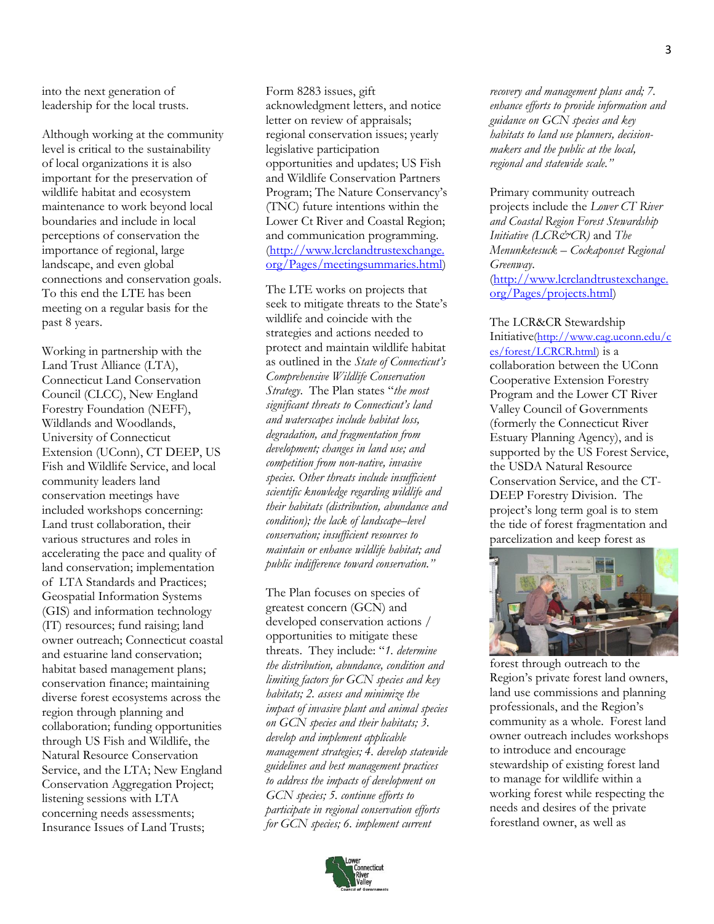into the next generation of leadership for the local trusts.

Although working at the community level is critical to the sustainability of local organizations it is also important for the preservation of wildlife habitat and ecosystem maintenance to work beyond local boundaries and include in local perceptions of conservation the importance of regional, large landscape, and even global connections and conservation goals. To this end the LTE has been meeting on a regular basis for the past 8 years.

Working in partnership with the Land Trust Alliance (LTA), Connecticut Land Conservation Council (CLCC), New England Forestry Foundation (NEFF), Wildlands and Woodlands, University of Connecticut Extension (UConn), CT DEEP, US Fish and Wildlife Service, and local community leaders land conservation meetings have included workshops concerning: Land trust collaboration, their various structures and roles in accelerating the pace and quality of land conservation; implementation of LTA Standards and Practices; Geospatial Information Systems (GIS) and information technology (IT) resources; fund raising; land owner outreach; Connecticut coastal and estuarine land conservation; habitat based management plans; conservation finance; maintaining diverse forest ecosystems across the region through planning and collaboration; funding opportunities through US Fish and Wildlife, the Natural Resource Conservation Service, and the LTA; New England Conservation Aggregation Project; listening sessions with LTA concerning needs assessments; Insurance Issues of Land Trusts;

Form 8283 issues, gift acknowledgment letters, and notice letter on review of appraisals; regional conservation issues; yearly legislative participation opportunities and updates; US Fish and Wildlife Conservation Partners Program; The Nature Conservancy's (TNC) future intentions within the Lower Ct River and Coastal Region; and communication programming. [\(http://www.lcrclandtrustexchange.](http://www.lcrclandtrustexchange.org/Pages/meetingsummaries.html) [org/Pages/meetingsummaries.html\)](http://www.lcrclandtrustexchange.org/Pages/meetingsummaries.html)

The LTE works on projects that seek to mitigate threats to the State's wildlife and coincide with the strategies and actions needed to protect and maintain wildlife habitat as outlined in the *State of Connecticut's Comprehensive Wildlife Conservation Strategy*. The Plan states "*the most significant threats to Connecticut's land and waterscapes include habitat loss, degradation, and fragmentation from development; changes in land use; and competition from non-native, invasive species. Other threats include insufficient scientific knowledge regarding wildlife and their habitats (distribution, abundance and condition); the lack of landscape–level conservation; insufficient resources to maintain or enhance wildlife habitat; and public indifference toward conservation."*

The Plan focuses on species of greatest concern (GCN) and developed conservation actions / opportunities to mitigate these threats. They include: "*1. determine the distribution, abundance, condition and limiting factors for GCN species and key habitats; 2. assess and minimize the impact of invasive plant and animal species on GCN species and their habitats; 3. develop and implement applicable management strategies; 4. develop statewide guidelines and best management practices to address the impacts of development on GCN species; 5. continue efforts to participate in regional conservation efforts for GCN species; 6. implement current* 



*recovery and management plans and; 7. enhance efforts to provide information and guidance on GCN species and key habitats to land use planners, decisionmakers and the public at the local, regional and statewide scale."*

Primary community outreach projects include the *Lower CT River and Coastal Region Forest Stewardship Initiative (LCR&CR)* and *The Menunketesuck – Cockaponset Regional Greenway*. [\(http://www.lcrclandtrustexchange.](http://www.lcrclandtrustexchange.org/Pages/projects.html) [org/Pages/projects.html\)](http://www.lcrclandtrustexchange.org/Pages/projects.html)

The LCR&CR Stewardship Initiative[\(http://www.cag.uconn.edu/c](http://www.cag.uconn.edu/ces/forest/LCRCR.html) [es/forest/LCRCR.html\)](http://www.cag.uconn.edu/ces/forest/LCRCR.html) is a collaboration between the UConn Cooperative Extension Forestry Program and the Lower CT River Valley Council of Governments (formerly the Connecticut River Estuary Planning Agency), and is supported by the US Forest Service, the USDA Natural Resource Conservation Service, and the CT-DEEP Forestry Division. The project's long term goal is to stem the tide of forest fragmentation and parcelization and keep forest as



forest through outreach to the Region's private forest land owners, land use commissions and planning professionals, and the Region's community as a whole. Forest land owner outreach includes workshops to introduce and encourage stewardship of existing forest land to manage for wildlife within a working forest while respecting the needs and desires of the private forestland owner, as well as